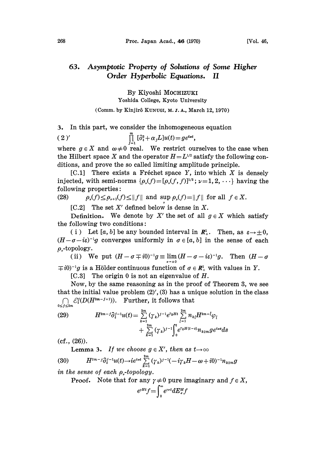## 63. Asymptotic Property of Solutions of Some Higher Order Hyperbolic Equations. II

By Kiyoshi MOCHIZUKI Yoshida College, Kyoto University

(Comm. by Kinjir6 KUNUGI, M. J. A., March 12, 1970)

3. In this part, we consider the inhomogeneous equation

( 2 )'  $\prod_{i=1}^{m} [\partial_t^2 + \alpha_j L] u(t) = g e^{i\omega t},$ 

where  $g \in X$  and  $\omega \neq 0$  real. We restrict ourselves to the case when the Hilbert space X and the operator  $H = L^{1/2}$  satisfy the following conditions, and prove the so called limiting amplitude principle.

[C.1] There exists a Fréchet space Y, into which  $X$  is densely injected, with semi-norms  $\{\rho_{\nu}(f) = [\rho_{\nu}(f, f)]^{1/2}; \nu = 1, 2, \cdots\}$  having the<br>following properties:<br>(28)  $\rho_{\nu}(f) < |\rho_{\nu+1}(f)| < ||f||$  and sup  $\rho_{\nu}(f) = ||f||$  for all  $f \in X$ . following properties:

(28)  $\rho_{\nu}(f) \leq \rho_{\nu+1}(f) \leq ||f||$  and sup  $\rho_{\nu}(f) = ||f||$  for all  $f \in X$ .

 $[C.2]$  The set X' defined below is dense in X.

Definition. We denote by X' the set of all  $g \in X$  which satisfy the following two conditions:

(i) Let [a, b] be any bounded interval in  $\mathbb{R}^1$ . Then, as  $\varepsilon \to \pm 0$ .  $(H-\sigma-i\varepsilon)^{-1}g$  converges uniformly in  $\sigma \in [a, b]$  in the sense of each  $\rho$ -topology.

(ii) We put  $(H - \sigma \mp i0)^{-1}g \equiv \lim_{\epsilon \to 0} (H - \sigma - i\epsilon)^{-1}g$ . Then  $(H - \sigma)$  $\overline{+}i0)^{-1}g$  is a Hölder continuous function of  $\sigma \in \mathbb{R}^1$ , with values in Y.

[C.3] The origin 0 is not an eigenvalue of  $H$ .

Now, by the same reasoning as in the proof of Theorem 3, we see that the initial value problem  $(2)$ ',  $(3)$  has a unique solution in the class  $\bigcap_{0\leq j\leq 2m} C_i^j(D(H^{2m-j+1})).$  Further, it follows that

(29) 
$$
H^{2m-j}\partial_t^{j-1}u(t) = \sum_{k=1}^{2m} (\gamma_k)^{j-1}e^{r_kHt} \sum_{l=1}^{2m} n_{kl}H^{2m-l}\varphi_l + \sum_{k=1}^{2m} (\gamma_k)^{j-1} \int_0^t e^{r_kH(t-s)}n_{k2m}ge^{i\omega s}ds
$$

(cf., (26)).

**Lemma 3.** If we choose  $g \in X'$ , then as  $t \to \infty$ 

(30) 
$$
H^{2m-j}\partial_t^{j-1}u(t)\to i e^{i\omega t}\sum_{k=1}^{2m}(\gamma_k)^{j-1}(-i\gamma_kH-\omega+i0)^{-1}n_{k2m}g
$$

in the sense of each  $\rho_{\nu}$ -topology.

**Proof.** Note that for any  $\gamma \neq 0$  pure imaginary and  $f \in X$ ,<br> $e^{rHt}f = \int_{0}^{\infty} e^{r\sigma t} dE_{\sigma}^{H} f$ 

$$
e^{\gamma H t} f = \int_0^\infty e^{\gamma \sigma t} dE^H_\sigma f
$$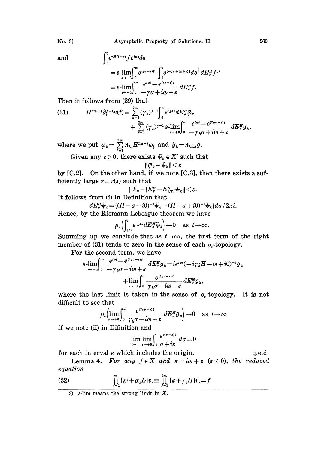and 
$$
\int_0^t e^{rH(t-s)} f e^{i\omega s} ds
$$

$$
= s\text{-}\lim_{\epsilon \to +0} \int_{0}^{\infty} e^{(\gamma \sigma - \epsilon)t} \left[ \int_{0}^{t} e^{(-\gamma \sigma + i\omega + \epsilon)s} ds \right] dE_{\sigma}^{H} f^{3} \n= s\text{-}\lim_{\epsilon \to +0} \int_{0}^{\infty} \frac{e^{i\omega t} - e^{(\gamma \sigma - \epsilon)t}}{-\gamma \sigma + i\omega + \epsilon} dE_{\sigma}^{H} f.
$$

Then it follows from (29) that

(31) 
$$
H^{2m-j}\partial_t^{j-1}u(t) = \sum_{k=1}^{2m} (\gamma_k)^{j-1} \int_0^\infty e^{r_k t} dE^H_* \tilde{\varphi}_k + \sum_{k=1}^{2m} (\gamma_k)^{j-1} s \cdot \lim_{\epsilon \to +0} \int_0^\infty \frac{e^{i\omega t} - e^{(\gamma_k \sigma - \epsilon)t}}{-\gamma_k \sigma + i\omega + \epsilon} dE^H_* \tilde{g}_k,
$$

where we put  $\bar{\varphi}_k = \sum\limits_{k=1}^{2m} n_{k} H^{2m-l} \varphi_l$  and  $\bar{g}_k = n_{k2m} g$ . Given any  $\varepsilon > 0$ , there exists  $\psi_k \in X'$  such that

$$
\|\tilde{\varphi}_k - \tilde{\psi}_k\| \le \varepsilon
$$

by [C.2]. On the other hand, if we note [C.3], then there exists a sufficiently large  $r=r(\varepsilon)$  such that

$$
\|\tilde{\psi}_k\!-\!\{\!E^H_r\!-\!E^H_{1/r}\}\!\!\cdot\!\!\tilde{\psi}_k\|\!<\!\varepsilon.
$$

It follows from (i) in Definition that

 $dE_{\sigma}^{\mu}\tilde{\psi}_{k}=[(H-\sigma-i0)^{-1}\tilde{\psi}_{k}-(H-\sigma+i0)^{-1}\tilde{\psi}_{k}]d\sigma/2\pi i.$ 

Hence, by the Riemann-Lebesgue theorem we have

$$
\rho_{\nu}\Bigl(\hspace{-0.2cm}\int_{1/r}^r e^{r_{k\sigma t}} dE_{\sigma}^H\hspace{-0.2cm}\bar{}\hspace{0.2cm}\bar{}\hspace{0.2cm}v_k\Bigr) \hspace{-0.2cm} \to \hspace{-0.2cm} 0 \quad \text{ as } \,\, t\hspace{-0.2cm}\to \hspace{-0.2cm} \infty\,.
$$

Summing up we conclude that as  $t\rightarrow\infty$ , the first term of the right member of (31) tends to zero in the sense of each  $\rho_{\nu}$ -topology.

For the second term, we have

$$
s\lim_{\epsilon \to +0} \int_0^\infty \frac{e^{i\omega t} - e^{i\gamma_k \sigma - \epsilon_1 t}}{-\gamma_k \sigma + i\omega + \epsilon} dE_\sigma^H \tilde{g}_k = ie^{i\omega t}(-i\gamma_k H - \omega + i0)^{-1} \tilde{g}_k
$$
  
+ 
$$
\lim_{\epsilon \to +0} \int_0^\infty \frac{e^{i\gamma_k \sigma - \epsilon_1 t}}{\gamma_k \sigma - i\omega - \epsilon} dE_\sigma^H \tilde{g}_k,
$$
  
the last limit is taken in the sense of  $\rho_r$ -topology.  
to see that

where the last limit is taken in the sense of  $\rho_r$ -topology. It is not difficult to see that

$$
\rho_{\nu}\left(\lim_{t\to+0}\int_{0}^{\infty}\frac{e^{(t_k\sigma-t)t}}{\gamma_k\sigma-i\omega-\varepsilon}dE_{\sigma}^H\widetilde{g}_k\right)\to0\quad\text{as}\ \ t\to\infty
$$

if we note (ii) in Difinition and

$$
\lim_{t\to\infty}\lim_{\epsilon\to+0}\int_{\epsilon}\frac{e^{(i\sigma-\epsilon)t}}{\sigma+i\epsilon}d\sigma=0
$$

for each interval e which includes the origin. Lemma 4. For any  $f \in X$  and  $\kappa = i\omega + \varepsilon$  ( $\varepsilon \neq 0$ ), the reduced equation q.e.d.

(32) 
$$
\prod_{j=1}^{m} [\kappa^2 + \alpha_j L] v_{\kappa} \equiv \prod_{j=1}^{2m} [\kappa + \gamma_j H] v_{\kappa} = f
$$

3) s-lim means the strong limit in  $X$ .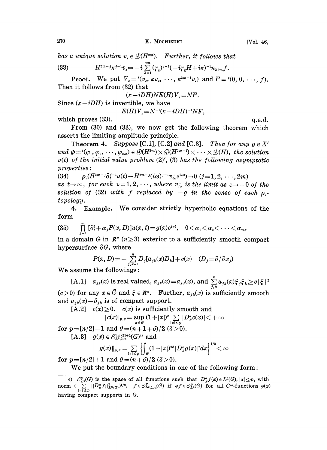has a unique solution  $v_{\epsilon} \in \mathcal{D}(H^{2m})$ . Further, it follows that

(33) 
$$
H^{2m-j} \kappa^{j-1} v_{\kappa} = -i \sum_{k=1}^{2m} (\gamma_k)^{j-1} (-i \gamma_k H + i \kappa)^{-1} n_{k2m} f.
$$

**Proof.** We put  $V_x = {}^t(v_x, \kappa v_x, \cdots, \kappa^{2m-1}v_x)$  and  $F = {}^t(0, 0, \cdots, f)$ . Then it follows from (32) that

$$
(\kappa - iDH)NE(H)V_{\kappa} = NF.
$$

Since  $(\kappa - iDH)$  is invertible, we have

$$
E(H)V_{\kappa} = N^{-1}(\kappa - iDH)^{-1}NF,
$$

which proves  $(33)$ .

From  $(30)$  and  $(33)$ , we now get the following theorem which asserts the limiting amplitude principle.

Theorem 4. Suppose [C.1], [C.2] and [C.3]. Then for any  $g \in X'$ <br>and  $\Phi = {t(\varphi_1, \varphi_2, \dots, \varphi_{2m}) \in \mathcal{D}(H^{2m}) \times \mathcal{D}(H^{2m-1}) \times \dots \times \mathcal{D}(H)}$ , the solution<br>*u(t)* of the initial value problem (2)' (3) has the following asym  $u(t)$  of the initial value problem  $(2)$ ',  $(3)$  has the following asymptotic properties:

(34)  $\rho_{\nu}(H^{2m-j}\partial_t^{j-1}u(t)-H^{2m-j}(i\omega)^{j-1}v_{i\omega}^{-}e^{i\omega t})\rightarrow 0 \quad (j=1, 2, \cdots, 2m)$ as  $t\rightarrow\infty$ , for each  $\nu=1, 2, \cdots$ , where  $v_{i\omega}$  is the limit as  $\varepsilon\rightarrow +0$  of the solution of (32) with f replaced by  $-g$  in the sense of each  $\rho_{\nu}$ topology.

4. Example. We consider strictly hyperbolic equations of the form

(35) Example. We consider strictly hyperbond equations<br>  $\prod_{j=1}^m [\partial_t^2 + \alpha_j P(x, D)]u(x, t) = g(x)e^{i\omega t}, \quad 0 < \alpha_1 < \alpha_2 < \cdots < \alpha_m,$ 

in a domain G in  $\mathbb{R}^n$  ( $n \geq 3$ ) exterior to a sufficiently smooth compact hypersurface  $\partial G$ , where

$$
P(x,D) = -\sum_{j,k=1}^{n} D_j[a_{jk}(x)D_k] + c(x) \quad (D_j = \partial/\partial x_j)
$$

We assume the followings:

[A.1]  $a_{jk}(x)$  is real valued,  $a_{jk}(x)=a_{kj}(x)$ , and  $\sum_{j,k}^{n}a_{jk}(x)\xi_j\xi_k\geq c|\xi|^2$  $(c>0)$  for any  $x \in \bar{G}$  and  $\xi \in \mathbb{R}^n$ . Further,  $a_{jk}(x)$  is sufficiently smooth and  $a_{ik}(x) - \delta_{ik}$  is of compact support.

[A.2]  $c(x) \ge 0$ .  $c(x)$  is sufficiently smooth and

$$
|c(x)|_{p,\theta} = \sup_{x \in G} (1+|x|)^\theta \sum_{|\alpha| \le p} |D^{\alpha}_x c(x)| < +\infty
$$

for  $p = [n/2] - 1$  and  $\theta = (n + 1 + \delta)/2$  ( $\delta > 0$ ).

[A.3]  $g(x) \in \mathcal{E}_{L^2, \text{loc}}^{[n/2]+1}(G)^{4}$  and

$$
||g(x)||_{p,\theta} = \sum_{|a| \le p} \left\{ \int_{a} (1+|x|)^{2\theta} |D_x^a g(x)|^2 dx \right\}^{1/2} < \infty
$$

for  $p = [n/2] + 1$  and  $\theta = (n + \delta)/2 \; (\delta > 0)$ .

We put the boundary conditions in one of the following form:

$$
[.e.d.]
$$

<sup>4)</sup>  $\mathcal{E}_{L^2}^p(G)$  is the space of all functions such that  $D_x^{\alpha} f(x) \in L^2(G)$ ,  $|\alpha| \leq p$ , with norm  $\left(\sum_{|\alpha| \leq p} ||D_{x}^{\alpha}f||_{L^{2}(\mathcal{G})}^{2}\right)^{1/2}$ .  $f \in \mathcal{E}_{L^{2},\text{loc}}^{p}(\mathcal{G})$  if  $\varphi f \in \mathcal{E}_{L^{2}}^{p}(\mathcal{G})$  for all  $C^{\infty}$ -functions  $\varphi(x)$ having compact supports in  $G$ .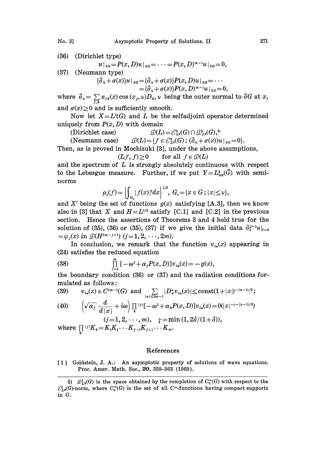No. 3] Asymptotic Property of Solutions. II 271

(36) (Dirichlet type)  
\n
$$
u|_{\partial G} = P(x, D)u|_{\partial G} = \cdots = P(x, D)^{m-1}u|_{\partial G} = 0,
$$
\n(37) (Neumann type)  
\n
$$
\{\partial_n + \sigma(x)\}u|_{\partial G} = \{\partial_n + \sigma(x)\}P(x, D)u|_{\partial G} = \cdots
$$

$$
\begin{aligned} \n\mathcal{D}_n + \sigma(x) \, &| u |_{\mathfrak{d}G} = \{ \partial_n + \sigma(x) \} P(x, D) u |_{\mathfrak{d}G} = \cdots \\ \n&= \{ \partial_n + \sigma(x) \} P(x, D)^{m-1} u |_{\mathfrak{d}G} = 0, \\ \na_{jk}(x) \cos(x_j, \nu) D_k, \nu \text{ being the outer norm.} \n\end{aligned}
$$

where  $\partial_n = \sum_{i} a_{jk}(x) \cos(x_j, \nu)D_k$ ,  $\nu$  being the outer normal to  $\partial G$  at x, and  $\sigma(x) \geq 0$  and is sufficiently smooth.

Now let  $X = L^{2}(G)$  and L be the selfadjoint operator determined uniquely from  $P(x, D)$  with domain

(Dirichlet case)  $\mathcal{D}(L) = \mathcal{E}_{L^2}^2(G) \cap \mathcal{D}_{L^2}^1(G)$ ,<sup>5)</sup>

(Neumann case)  $\mathcal{Q}(L) = \{f \in \mathcal{E}_{L^2}^2(G) ; (\partial_n + \sigma(x))u\big|_{\partial G} = 0\}.$ 

Then, as is proved in Mochizuki [3], under the above assumptions,

$$
(Lf, f) \ge 0 \qquad \text{for all } f \in \mathcal{D}(L)
$$

and the spectrum of  $L$  is strongly absolutely continuous with respect to the Lebesgue measure. Further, if we put  $Y=L^2_{loc}(\bar{G})$  with seminorms

$$
\rho_{\nu}(f) = \left\{ \int_{a_{\nu}} |f(x)|^2 dx \right\}^{1/2}, \ G_{\nu} = \{ x \in G ; \ |x| \leq \nu \},
$$

and X' being the set of functions  $g(x)$  satisfying [A.3], then we know also in [3] that X and  $H = L^{1/2}$  satisfy [C.1] and [C.2] in the previous section. Hence the assertions of Theorems 3 and 4 hold true for the solution of (35), (36) or (35), (37) if we give the initial data  $\partial_t^{j-1}u|_{t=0}$  $=\varphi_i(x)$  in  $\mathcal{D}(H^{2m-j+1})$   $(j=1,2,\ldots, 2m)$ .

In conclusion, we remark that the function  $v_{i\omega}(x)$  appearing in (24) satisfies the reduced equation

(38) 
$$
\prod_{j=1}^{m} [ -\omega^2 + \alpha_j P(x, D) ] v_{i\omega}(x) = -g(x),
$$

the boundary condition  $(36)$  or  $(37)$  and the radiation conditions formulated as follows:

$$
(39) \qquad v_{i\omega}(x)\in C^{2m-1}(G) \text{ and } \sum_{|\alpha|\leq 2m-1}|D_{x}^{\alpha}v_{i\omega}(x)|\leq \text{const}(1+|x|)^{-(n-1)/2};
$$

$$
(40) \qquad \left(\sqrt{\alpha_j}\frac{d}{d|x|}+i\omega\right)\prod_k {}^{(j)}[-\omega^2+\alpha_kP(x,D)]v_{i\omega}(x)=0(|x|^{-r-(n-1)/2})
$$

$$
(j=1,2,\cdots,m), \quad \gamma = \min(1,2\delta/(1+\delta)),
$$
  
where 
$$
\prod^{(j)} K_k = K_1 K_2 \cdots K_{j-1} K_{j+1} \cdots K_m.
$$

## References

[1] Goldstein, J. A.: An asymptotic property of solutions of wave equations. Proc. Amer. Math. Soc., 20, 359-363 (1969).

<sup>5)</sup>  $\mathcal{D}_{L^2}(G)$  is the space obtained by the completion of  $C_0^{\infty}(G)$  with respect to the  $\mathcal{C}_{L^2}^1(G)$ -norm, where  $C_0^{\infty}(G)$  is the set of all  $C^{\infty}$ -functions having compact supports in G.